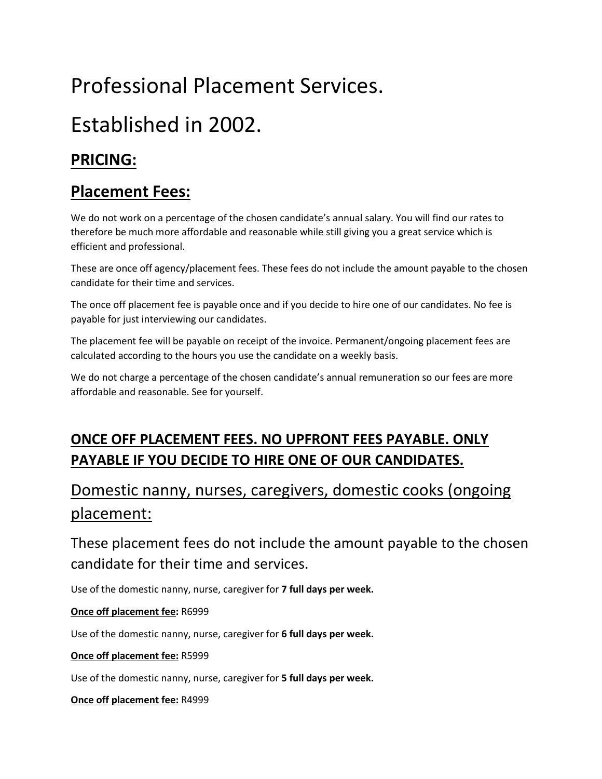# Professional Placement Services.

# Established in 2002.

## **PRICING:**

### **Placement Fees:**

We do not work on a percentage of the chosen candidate's annual salary. You will find our rates to therefore be much more affordable and reasonable while still giving you a great service which is efficient and professional.

These are once off agency/placement fees. These fees do not include the amount payable to the chosen candidate for their time and services.

The once off placement fee is payable once and if you decide to hire one of our candidates. No fee is payable for just interviewing our candidates.

The placement fee will be payable on receipt of the invoice. Permanent/ongoing placement fees are calculated according to the hours you use the candidate on a weekly basis.

We do not charge a percentage of the chosen candidate's annual remuneration so our fees are more affordable and reasonable. See for yourself.

### **ONCE OFF PLACEMENT FEES. NO UPFRONT FEES PAYABLE. ONLY PAYABLE IF YOU DECIDE TO HIRE ONE OF OUR CANDIDATES.**

## Domestic nanny, nurses, caregivers, domestic cooks (ongoing placement:

These placement fees do not include the amount payable to the chosen candidate for their time and services.

Use of the domestic nanny, nurse, caregiver for **7 full days per week.**

#### **Once off placement fee:** R6999

Use of the domestic nanny, nurse, caregiver for **6 full days per week.**

#### **Once off placement fee:** R5999

Use of the domestic nanny, nurse, caregiver for **5 full days per week.**

#### **Once off placement fee:** R4999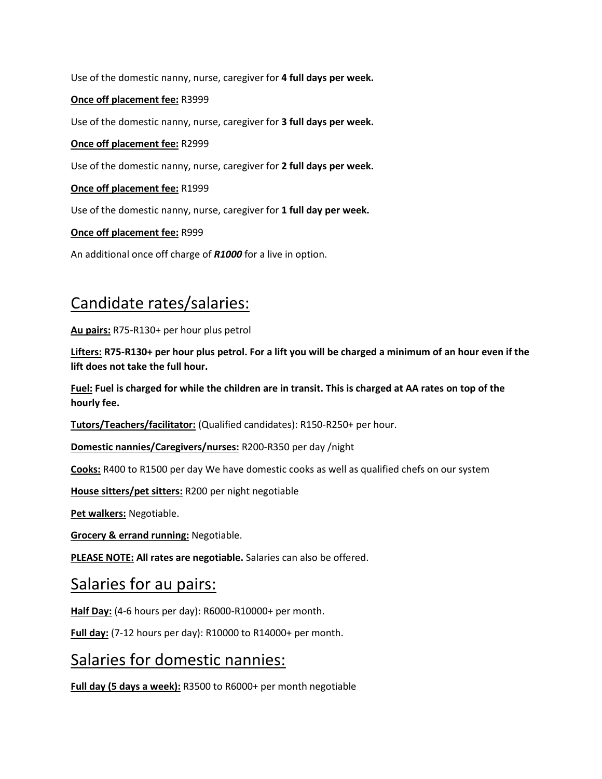Use of the domestic nanny, nurse, caregiver for **4 full days per week.**

#### **Once off placement fee:** R3999

Use of the domestic nanny, nurse, caregiver for **3 full days per week.**

#### **Once off placement fee:** R2999

Use of the domestic nanny, nurse, caregiver for **2 full days per week.**

#### **Once off placement fee:** R1999

Use of the domestic nanny, nurse, caregiver for **1 full day per week.**

#### **Once off placement fee:** R999

An additional once off charge of *R1000* for a live in option.

### Candidate rates/salaries:

**Au pairs:** R75-R130+ per hour plus petrol

**Lifters: R75-R130+ per hour plus petrol. For a lift you will be charged a minimum of an hour even if the lift does not take the full hour.**

**Fuel: Fuel is charged for while the children are in transit. This is charged at AA rates on top of the hourly fee.**

**Tutors/Teachers/facilitator:** (Qualified candidates): R150-R250+ per hour.

**Domestic nannies/Caregivers/nurses:** R200-R350 per day /night

**Cooks:** R400 to R1500 per day We have domestic cooks as well as qualified chefs on our system

**House sitters/pet sitters:** R200 per night negotiable

**Pet walkers:** Negotiable.

**Grocery & errand running:** Negotiable.

**PLEASE NOTE: All rates are negotiable.** Salaries can also be offered.

### Salaries for au pairs:

**Half Day:** (4-6 hours per day): R6000-R10000+ per month.

**Full day:** (7-12 hours per day): R10000 to R14000+ per month.

### Salaries for domestic nannies:

**Full day (5 days a week):** R3500 to R6000+ per month negotiable